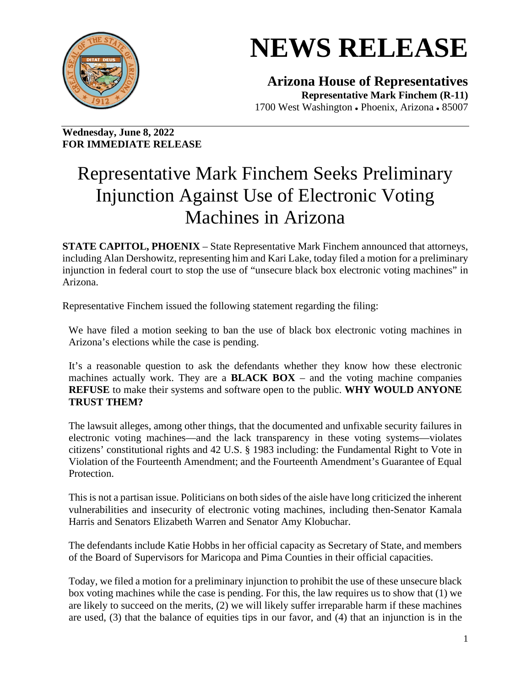

## **NEWS RELEASE**

**Arizona House of Representatives Representative Mark Finchem (R-11)** 1700 West Washington • Phoenix, Arizona • 85007

**Wednesday, June 8, 2022 FOR IMMEDIATE RELEASE**

## Representative Mark Finchem Seeks Preliminary Injunction Against Use of Electronic Voting Machines in Arizona

**STATE CAPITOL, PHOENIX** – State Representative Mark Finchem announced that attorneys, including Alan Dershowitz, representing him and Kari Lake, today filed a motion for a preliminary injunction in federal court to stop the use of "unsecure black box electronic voting machines" in Arizona.

Representative Finchem issued the following statement regarding the filing:

We have filed a motion seeking to ban the use of black box electronic voting machines in Arizona's elections while the case is pending.

It's a reasonable question to ask the defendants whether they know how these electronic machines actually work. They are a **BLACK BOX** – and the voting machine companies **REFUSE** to make their systems and software open to the public. **WHY WOULD ANYONE TRUST THEM?**

The lawsuit alleges, among other things, that the documented and unfixable security failures in electronic voting machines—and the lack transparency in these voting systems—violates citizens' constitutional rights and 42 U.S. § 1983 including: the Fundamental Right to Vote in Violation of the Fourteenth Amendment; and the Fourteenth Amendment's Guarantee of Equal Protection.

This is not a partisan issue. Politicians on both sides of the aisle have long criticized the inherent vulnerabilities and insecurity of electronic voting machines, including then-Senator Kamala Harris and Senators Elizabeth Warren and Senator Amy Klobuchar.

The defendants include Katie Hobbs in her official capacity as Secretary of State, and members of the Board of Supervisors for Maricopa and Pima Counties in their official capacities.

Today, we filed a motion for a preliminary injunction to prohibit the use of these unsecure black box voting machines while the case is pending. For this, the law requires us to show that (1) we are likely to succeed on the merits, (2) we will likely suffer irreparable harm if these machines are used, (3) that the balance of equities tips in our favor, and (4) that an injunction is in the